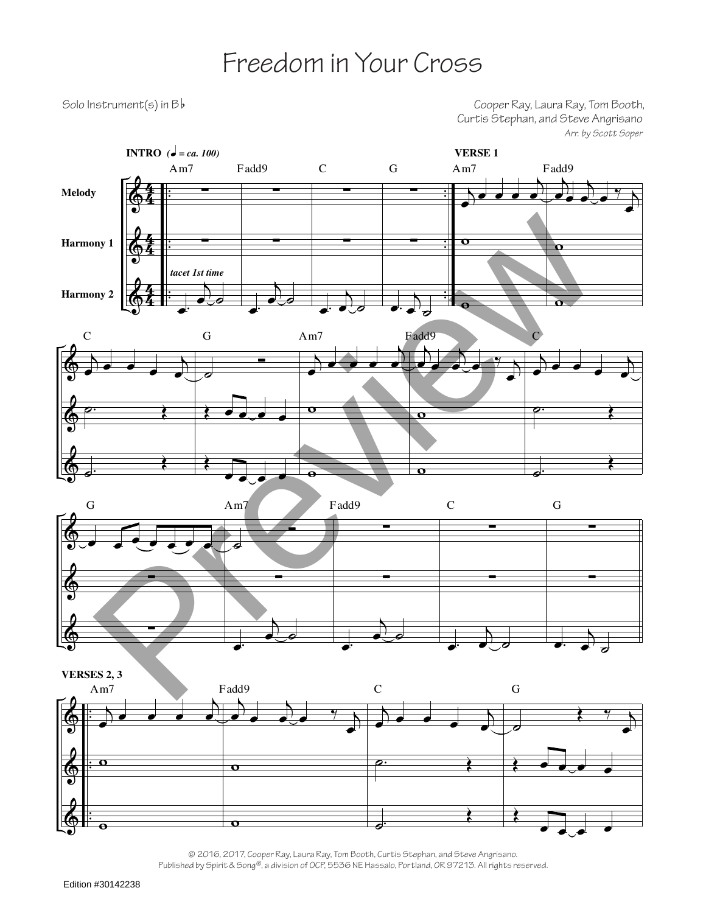## Freedom in Your Cross

Solo Instrument(s) in B b and Solo Instrument(s) in B b and Solo Instrument(s) in B b and Solo Instrument (s) Curtis Stephan, and Steve Angrisano *Arr. by Scott Soper*



© 2016, 2017, Cooper Ray, Laura Ray, Tom Booth, Curtis Stephan, and Steve Angrisano. Published by Spirit & Song®, a division of OCP, 5536 NE Hassalo, Portland, OR 97213. All rights reserved.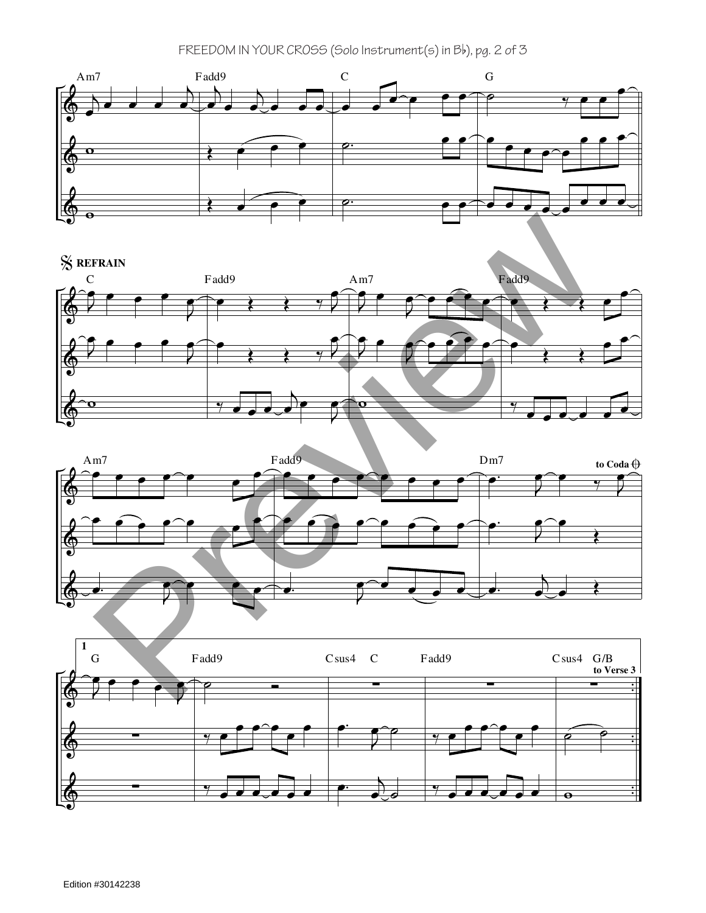